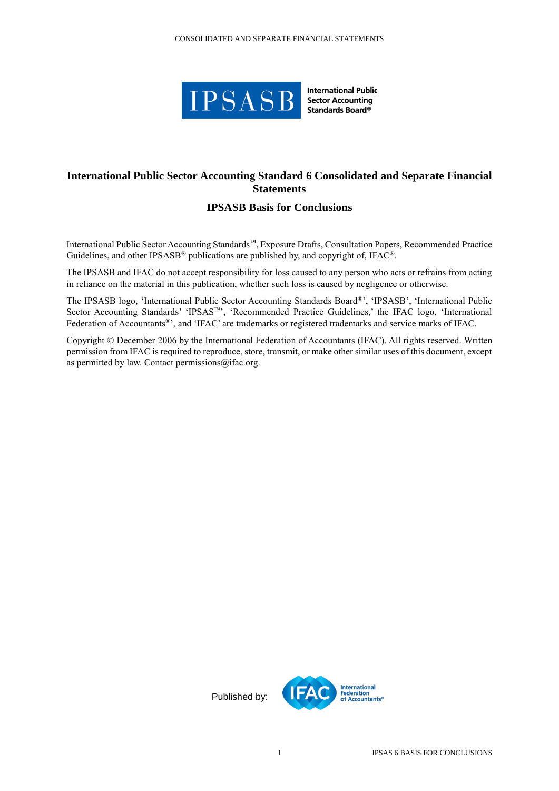

**International Public Sector Accounting** Standards Board®

## **International Public Sector Accounting Standard 6 Consolidated and Separate Financial Statements**

## **IPSASB Basis for Conclusions**

International Public Sector Accounting Standards™, Exposure Drafts, Consultation Papers, Recommended Practice Guidelines, and other IPSASB® publications are published by, and copyright of, IFAC®.

The IPSASB and IFAC do not accept responsibility for loss caused to any person who acts or refrains from acting in reliance on the material in this publication, whether such loss is caused by negligence or otherwise.

The IPSASB logo, 'International Public Sector Accounting Standards Board®', 'IPSASB', 'International Public Sector Accounting Standards' 'IPSAS™', 'Recommended Practice Guidelines,' the IFAC logo, 'International Federation of Accountants®', and 'IFAC' are trademarks or registered trademarks and service marks of IFAC.

Copyright © December 2006 by the International Federation of Accountants (IFAC). All rights reserved. Written permission from IFAC is required to reproduce, store, transmit, or make other similar uses of this document, except as permitted by law. Contact permissions@ifac.org.

Published by: